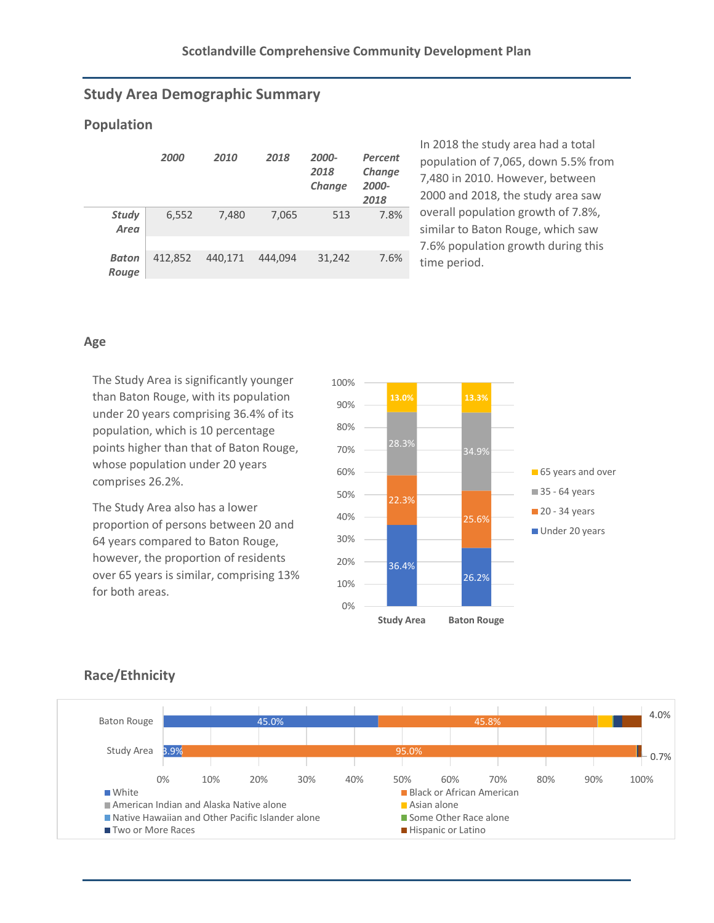### **Study Area Demographic Summary**

#### **Population**

|                       | 2000    | 2010    | 2018    | 2000-<br>2018<br>Change | Percent<br>Change<br>2000-<br>2018 |
|-----------------------|---------|---------|---------|-------------------------|------------------------------------|
| <b>Study</b><br>Area  | 6,552   | 7,480   | 7,065   | 513                     | 7.8%                               |
| <b>Baton</b><br>Rouge | 412.852 | 440.171 | 444.094 | 31,242                  | 7.6%                               |

In 2018 the study area had a total population of 7,065, down 5.5% from 7,480 in 2010. However, between 2000 and 2018, the study area saw overall population growth of 7.8%, similar to Baton Rouge, which saw 7.6% population growth during this time period.

#### **Age**

The Study Area is significantly younger than Baton Rouge, with its population under 20 years comprising 36.4% of its population, which is 10 percentage points higher than that of Baton Rouge, whose population under 20 years comprises 26.2%.

The Study Area also has a lower proportion of persons between 20 and 64 years compared to Baton Rouge, however, the proportion of residents over 65 years is similar, comprising 13% for both areas.



# **Race/Ethnicity**

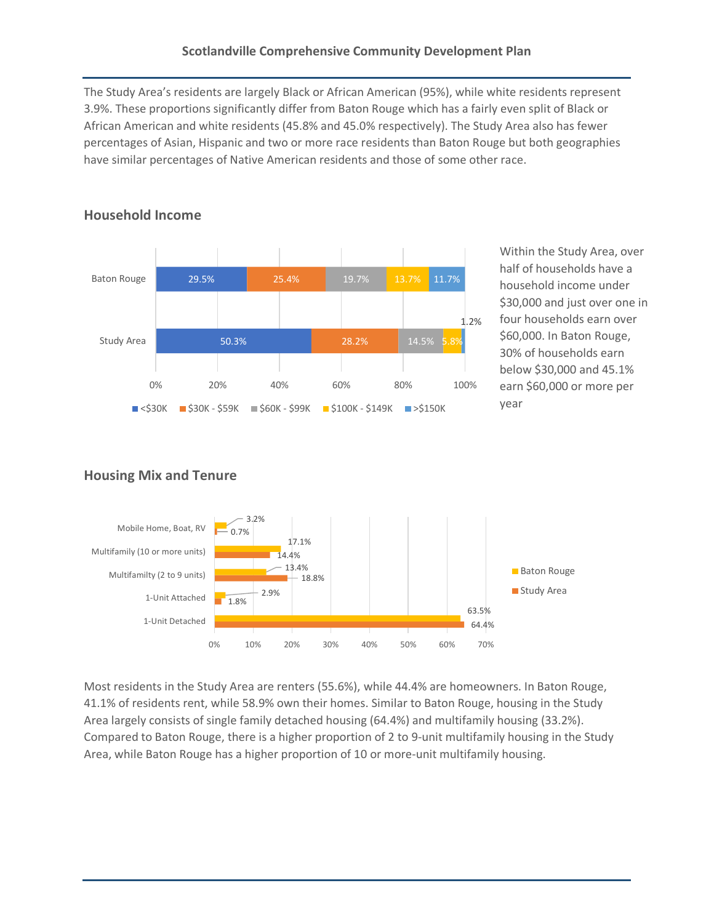The Study Area's residents are largely Black or African American (95%), while white residents represent 3.9%. These proportions significantly differ from Baton Rouge which has a fairly even split of Black or African American and white residents (45.8% and 45.0% respectively). The Study Area also has fewer percentages of Asian, Hispanic and two or more race residents than Baton Rouge but both geographies have similar percentages of Native American residents and those of some other race.



Within the Study Area, over half of households have a household income under \$30,000 and just over one in four households earn over \$60,000. In Baton Rouge, 30% of households earn below \$30,000 and 45.1% earn \$60,000 or more per year

# **Housing Mix and Tenure**

**Household Income**



Most residents in the Study Area are renters (55.6%), while 44.4% are homeowners. In Baton Rouge, 41.1% of residents rent, while 58.9% own their homes. Similar to Baton Rouge, housing in the Study Area largely consists of single family detached housing (64.4%) and multifamily housing (33.2%). Compared to Baton Rouge, there is a higher proportion of 2 to 9-unit multifamily housing in the Study Area, while Baton Rouge has a higher proportion of 10 or more-unit multifamily housing.